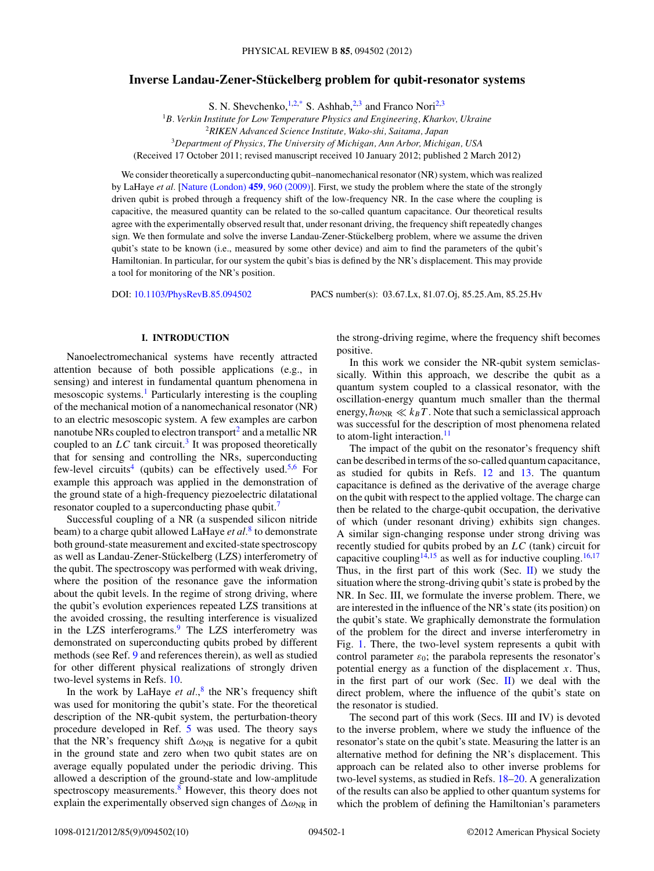# **Inverse Landau-Zener-Stuckelberg problem for qubit-resonator systems ¨**

S. N. Shevchenko,  $1,2,2$ \* S. Ashhab,  $2,3$  and Franco Nori<sup>2,3</sup>

<sup>1</sup>*B. Verkin Institute for Low Temperature Physics and Engineering, Kharkov, Ukraine*

<sup>2</sup>*RIKEN Advanced Science Institute, Wako-shi, Saitama, Japan*

<sup>3</sup>*Department of Physics, The University of Michigan, Ann Arbor, Michigan, USA*

(Received 17 October 2011; revised manuscript received 10 January 2012; published 2 March 2012)

We consider theoretically a superconducting qubit–nanomechanical resonator (NR) system, which was realized by LaHaye *et al.* [\[Nature \(London\)](http://dx.doi.org/10.1038/nature08093) **459**, 960 (2009)]. First, we study the problem where the state of the strongly driven qubit is probed through a frequency shift of the low-frequency NR. In the case where the coupling is capacitive, the measured quantity can be related to the so-called quantum capacitance. Our theoretical results agree with the experimentally observed result that, under resonant driving, the frequency shift repeatedly changes sign. We then formulate and solve the inverse Landau-Zener-Stückelberg problem, where we assume the driven qubit's state to be known (i.e., measured by some other device) and aim to find the parameters of the qubit's Hamiltonian. In particular, for our system the qubit's bias is defined by the NR's displacement. This may provide a tool for monitoring of the NR's position.

DOI: [10.1103/PhysRevB.85.094502](http://dx.doi.org/10.1103/PhysRevB.85.094502) PACS number(s): 03*.*67*.*Lx, 81*.*07*.*Oj, 85*.*25*.*Am, 85*.*25*.*Hv

## **I. INTRODUCTION**

Nanoelectromechanical systems have recently attracted attention because of both possible applications (e.g., in sensing) and interest in fundamental quantum phenomena in mesoscopic systems.<sup>[1](#page-8-0)</sup> Particularly interesting is the coupling of the mechanical motion of a nanomechanical resonator (NR) to an electric mesoscopic system. A few examples are carbon nanotube NRs coupled to electron transport<sup>[2](#page-8-0)</sup> and a metallic NR coupled to an  $LC$  tank circuit.<sup>[3](#page-8-0)</sup> It was proposed theoretically that for sensing and controlling the NRs, superconducting few-level circuits<sup>[4](#page-8-0)</sup> (qubits) can be effectively used.<sup>[5,6](#page-8-0)</sup> For example this approach was applied in the demonstration of the ground state of a high-frequency piezoelectric dilatational resonator coupled to a superconducting phase qubit.<sup>7</sup>

Successful coupling of a NR (a suspended silicon nitride beam) to a charge qubit allowed LaHaye *et al.*[8](#page-8-0) to demonstrate both ground-state measurement and excited-state spectroscopy as well as Landau-Zener-Stückelberg (LZS) interferometry of the qubit. The spectroscopy was performed with weak driving, where the position of the resonance gave the information about the qubit levels. In the regime of strong driving, where the qubit's evolution experiences repeated LZS transitions at the avoided crossing, the resulting interference is visualized in the LZS interferograms.<sup>9</sup> The LZS interferometry was demonstrated on superconducting qubits probed by different methods (see Ref. [9](#page-8-0) and references therein), as well as studied for other different physical realizations of strongly driven two-level systems in Refs. [10.](#page-8-0)

In the work by LaHaye *et al.*,<sup>[8](#page-8-0)</sup> the NR's frequency shift was used for monitoring the qubit's state. For the theoretical description of the NR-qubit system, the perturbation-theory procedure developed in Ref. [5](#page-8-0) was used. The theory says that the NR's frequency shift  $\Delta \omega_{NR}$  is negative for a qubit in the ground state and zero when two qubit states are on average equally populated under the periodic driving. This allowed a description of the ground-state and low-amplitude spectroscopy measurements.<sup>8</sup> However, this theory does not explain the experimentally observed sign changes of  $\Delta\omega_{\rm NR}$  in

the strong-driving regime, where the frequency shift becomes positive.

In this work we consider the NR-qubit system semiclassically. Within this approach, we describe the qubit as a quantum system coupled to a classical resonator, with the oscillation-energy quantum much smaller than the thermal energy,  $\hbar \omega_{\text{NR}} \ll k_B T$ . Note that such a semiclassical approach was successful for the description of most phenomena related to atom-light interaction. $\frac{11}{11}$  $\frac{11}{11}$  $\frac{11}{11}$ 

The impact of the qubit on the resonator's frequency shift can be described in terms of the so-called quantum capacitance, as studied for qubits in Refs. [12](#page-8-0) and [13.](#page-8-0) The quantum capacitance is defined as the derivative of the average charge on the qubit with respect to the applied voltage. The charge can then be related to the charge-qubit occupation, the derivative of which (under resonant driving) exhibits sign changes. A similar sign-changing response under strong driving was recently studied for qubits probed by an *LC* (tank) circuit for capacitive coupling<sup>14,15</sup> as well as for inductive coupling.<sup>16,17</sup> Thus, in the first part of this work (Sec.  $II$ ) we study the situation where the strong-driving qubit's state is probed by the NR. In Sec. III, we formulate the inverse problem. There, we are interested in the influence of the NR's state (its position) on the qubit's state. We graphically demonstrate the formulation of the problem for the direct and inverse interferometry in Fig. [1.](#page-1-0) There, the two-level system represents a qubit with control parameter  $\varepsilon_0$ ; the parabola represents the resonator's potential energy as a function of the displacement *x*. Thus, in the first part of our work (Sec.  $\mathbf{II}$ ) we deal with the direct problem, where the influence of the qubit's state on the resonator is studied.

The second part of this work (Secs. III and IV) is devoted to the inverse problem, where we study the influence of the resonator's state on the qubit's state. Measuring the latter is an alternative method for defining the NR's displacement. This approach can be related also to other inverse problems for two-level systems, as studied in Refs. [18–20.](#page-8-0) A generalization of the results can also be applied to other quantum systems for which the problem of defining the Hamiltonian's parameters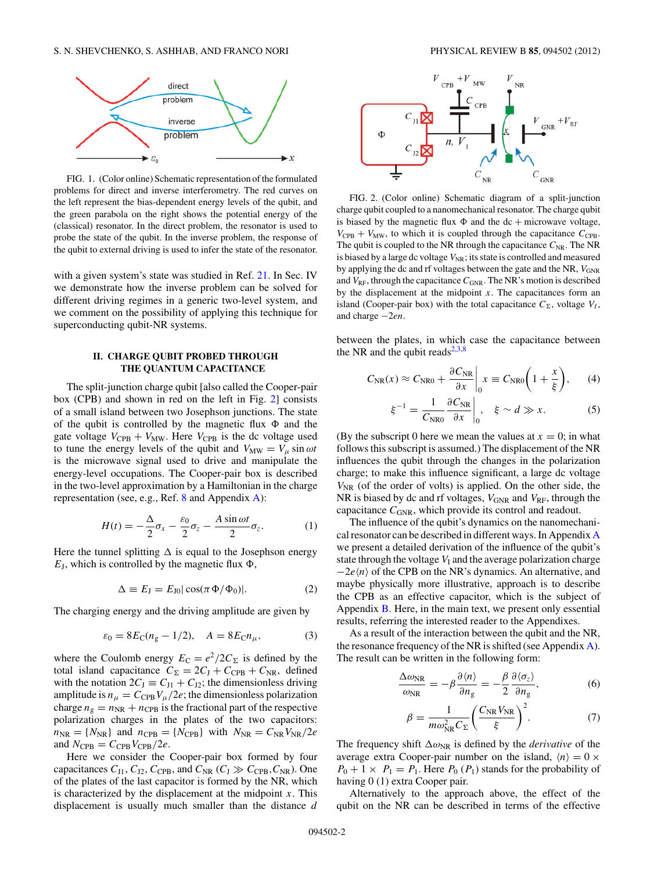<span id="page-1-0"></span>

FIG. 1. (Color online) Schematic representation of the formulated problems for direct and inverse interferometry. The red curves on the left represent the bias-dependent energy levels of the qubit, and the green parabola on the right shows the potential energy of the (classical) resonator. In the direct problem, the resonator is used to probe the state of the qubit. In the inverse problem, the response of the qubit to external driving is used to infer the state of the resonator.

with a given system's state was studied in Ref. [21.](#page-9-0) In Sec. IV we demonstrate how the inverse problem can be solved for different driving regimes in a generic two-level system, and we comment on the possibility of applying this technique for superconducting qubit-NR systems.

## **II. CHARGE QUBIT PROBED THROUGH THE QUANTUM CAPACITANCE**

The split-junction charge qubit [also called the Cooper-pair box (CPB) and shown in red on the left in Fig. 2] consists of a small island between two Josephson junctions. The state of the qubit is controlled by the magnetic flux  $\Phi$  and the gate voltage  $V_{CPB} + V_{MW}$ . Here  $V_{CPB}$  is the dc voltage used to tune the energy levels of the qubit and  $V_{MW} = V_{\mu} \sin \omega t$ is the microwave signal used to drive and manipulate the energy-level occupations. The Cooper-pair box is described in the two-level approximation by a Hamiltonian in the charge representation (see, e.g., Ref. [8](#page-8-0) and Appendix [A\)](#page-6-0):

$$
H(t) = -\frac{\Delta}{2}\sigma_x - \frac{\varepsilon_0}{2}\sigma_z - \frac{A\sin\omega t}{2}\sigma_z.
$$
 (1)

Here the tunnel splitting  $\Delta$  is equal to the Josephson energy  $E_J$ , which is controlled by the magnetic flux  $\Phi$ ,

$$
\Delta \equiv E_{\rm J} = E_{\rm J0} |\cos(\pi \Phi / \Phi_0)|. \tag{2}
$$

The charging energy and the driving amplitude are given by

$$
\varepsilon_0 = 8E_C(n_g - 1/2), \quad A = 8E_C n_\mu,\tag{3}
$$

where the Coulomb energy  $E_C = e^2/2C_{\Sigma}$  is defined by the total island capacitance  $C_{\Sigma} = 2C_{\text{J}} + C_{\text{CPB}} + C_{\text{NR}}$ , defined with the notation  $2C_J \equiv C_{J1} + C_{J2}$ ; the dimensionless driving amplitude is  $n_{\mu} = C_{\text{CPB}} V_{\mu}/2e$ ; the dimensionless polarization charge  $n_g = n_{NR} + n_{CPB}$  is the fractional part of the respective polarization charges in the plates of the two capacitors:  $n_{NR} = \{N_{NR}\}\$ and  $n_{CPB} = \{N_{CPB}\}\$ with  $N_{NR} = C_{NR}V_{NR}/2e$ and  $N_{\text{CPB}} = C_{\text{CPB}} V_{\text{CPB}} / 2e$ .

Here we consider the Cooper-pair box formed by four capacitances  $C_{J1}$ ,  $C_{J2}$ ,  $C_{CPB}$ , and  $C_{NR}$  ( $C_J \gg C_{CPB}$ ,  $C_{NR}$ ). One of the plates of the last capacitor is formed by the NR, which is characterized by the displacement at the midpoint *x*. This displacement is usually much smaller than the distance *d*



FIG. 2. (Color online) Schematic diagram of a split-junction charge qubit coupled to a nanomechanical resonator. The charge qubit is biased by the magnetic flux  $\Phi$  and the dc + microwave voltage,  $V_{\text{CPB}} + V_{\text{MW}}$ , to which it is coupled through the capacitance  $C_{\text{CPB}}$ . The qubit is coupled to the NR through the capacitance  $C_{NR}$ . The NR is biased by a large dc voltage  $V_{\text{NR}}$ ; its state is controlled and measured by applying the dc and rf voltages between the gate and the NR,  $V_{GNR}$ and  $V_{\text{RF}}$ , through the capacitance  $C_{\text{GNR}}$ . The NR's motion is described by the displacement at the midpoint *x*. The capacitances form an island (Cooper-pair box) with the total capacitance  $C_{\Sigma}$ , voltage  $V_I$ , and charge −2*en*.

between the plates, in which case the capacitance between the NR and the qubit reads $2,3,8$ 

$$
C_{\text{NR}}(x) \approx C_{\text{NR}0} + \frac{\partial C_{\text{NR}}}{\partial x} \bigg|_{0} x \equiv C_{\text{NR}0} \bigg( 1 + \frac{x}{\xi} \bigg), \qquad (4)
$$

$$
\xi^{-1} = \frac{1}{C_{\text{NR}0}} \frac{\partial C_{\text{NR}}}{\partial x} \bigg|_{0}, \quad \xi \sim d \gg x. \tag{5}
$$

(By the subscript 0 here we mean the values at  $x = 0$ ; in what follows this subscript is assumed.) The displacement of the NR influences the qubit through the changes in the polarization charge; to make this influence significant, a large dc voltage  $V_{\text{NR}}$  (of the order of volts) is applied. On the other side, the NR is biased by dc and rf voltages,  $V_{GNR}$  and  $V_{RF}$ , through the capacitance  $C_{GNR}$ , which provide its control and readout.

The influence of the qubit's dynamics on the nanomechanical resonator can be described in different ways. In Appendix [A](#page-6-0) we present a detailed derivation of the influence of the qubit's state through the voltage  $V<sub>I</sub>$  and the average polarization charge  $-2e\langle n \rangle$  of the CPB on the NR's dynamics. An alternative, and maybe physically more illustrative, approach is to describe the CPB as an effective capacitor, which is the subject of Appendix [B.](#page-7-0) Here, in the main text, we present only essential results, referring the interested reader to the Appendixes.

As a result of the interaction between the qubit and the NR, the resonance frequency of the NR is shifted (see Appendix  $\bf{A}$ ). The result can be written in the following form:

$$
\frac{\Delta\omega_{\rm NR}}{\omega_{\rm NR}} = -\beta \frac{\partial \langle n \rangle}{\partial n_{\rm g}} = -\frac{\beta}{2} \frac{\partial \langle \sigma_z \rangle}{\partial n_{\rm g}},\tag{6}
$$

$$
\beta = \frac{1}{m\omega_{\rm NR}^2 C_{\Sigma}} \bigg(\frac{C_{\rm NR} V_{\rm NR}}{\xi}\bigg)^2.
$$
 (7)

The frequency shift  $\Delta \omega_{\text{NR}}$  is defined by the *derivative* of the average extra Cooper-pair number on the island,  $\langle n \rangle = 0 \times$  $P_0 + 1 \times P_1 = P_1$ . Here  $P_0$  ( $P_1$ ) stands for the probability of having 0 (1) extra Cooper pair.

Alternatively to the approach above, the effect of the qubit on the NR can be described in terms of the effective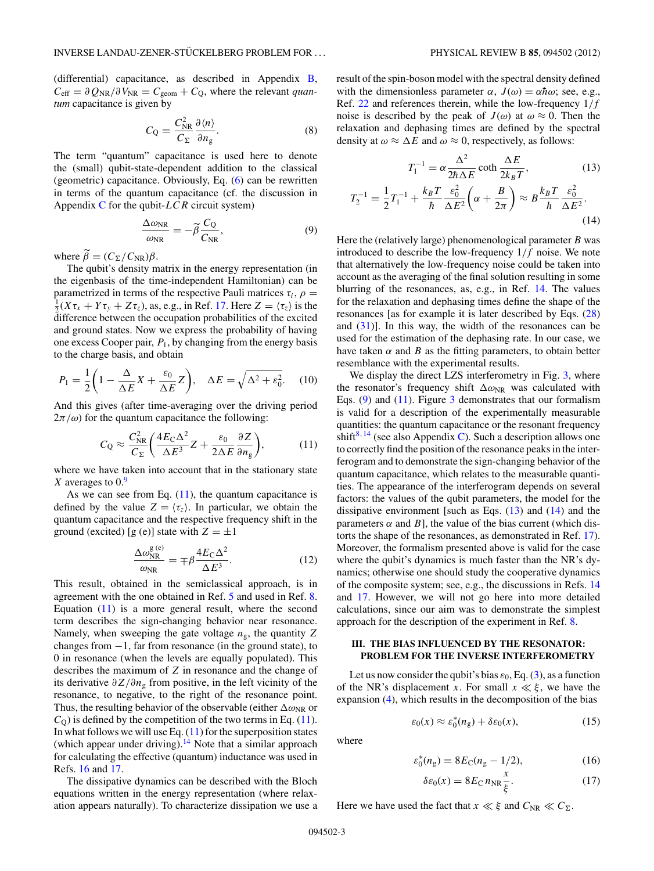<span id="page-2-0"></span>(differential) capacitance, as described in Appendix [B,](#page-7-0)  $C_{\text{eff}} = \partial Q_{\text{NR}} / \partial V_{\text{NR}} = C_{\text{geom}} + C_{\text{O}}$ , where the relevant *quantum* capacitance is given by

$$
C_{\rm Q} = \frac{C_{\rm NR}^2}{C_{\Sigma}} \frac{\partial \langle n \rangle}{\partial n_{\rm g}}.
$$
 (8)

The term "quantum" capacitance is used here to denote the (small) qubit-state-dependent addition to the classical (geometric) capacitance. Obviously, Eq. [\(6\)](#page-1-0) can be rewritten in terms of the quantum capacitance (cf. the discussion in Appendix [C](#page-7-0) for the qubit-*LCR* circuit system)

$$
\frac{\Delta \omega_{\rm NR}}{\omega_{\rm NR}} = -\tilde{\beta} \frac{C_{\rm Q}}{C_{\rm NR}},\tag{9}
$$

where  $\beta = (C_{\Sigma}/C_{\text{NR}})\beta$ .

The qubit's density matrix in the energy representation (in the eigenbasis of the time-independent Hamiltonian) can be parametrized in terms of the respective Pauli matrices  $\tau_i$ ,  $\rho$  =  $\frac{1}{2}(X\tau_x + Y\tau_y + Z\tau_z)$ , as, e.g., in Ref. [17.](#page-8-0) Here  $Z = \langle \tau_z \rangle$  is the difference between the occupation probabilities of the excited and ground states. Now we express the probability of having one excess Cooper pair,  $P_1$ , by changing from the energy basis to the charge basis, and obtain

$$
P_1 = \frac{1}{2} \left( 1 - \frac{\Delta}{\Delta E} X + \frac{\varepsilon_0}{\Delta E} Z \right), \quad \Delta E = \sqrt{\Delta^2 + \varepsilon_0^2}.
$$
 (10)

And this gives (after time-averaging over the driving period  $2\pi/\omega$ ) for the quantum capacitance the following:

$$
C_{\rm Q} \approx \frac{C_{\rm NR}^2}{C_{\Sigma}} \bigg( \frac{4E_{\rm C}\Delta^2}{\Delta E^3} Z + \frac{\varepsilon_0}{2\Delta E} \frac{\partial Z}{\partial n_{\rm g}} \bigg),\tag{11}
$$

where we have taken into account that in the stationary state *X* averages to 0.[9](#page-8-0)

As we can see from Eq.  $(11)$ , the quantum capacitance is defined by the value  $Z = \langle \tau_z \rangle$ . In particular, we obtain the quantum capacitance and the respective frequency shift in the ground (excited) [g (e)] state with  $Z = \pm 1$ 

$$
\frac{\Delta \omega_{\rm NR}^{\rm g\,(e)}}{\omega_{\rm NR}} = \mp \beta \frac{4E_{\rm C} \Delta^2}{\Delta E^3}.
$$
\n(12)

This result, obtained in the semiclassical approach, is in agreement with the one obtained in Ref. [5](#page-8-0) and used in Ref. [8.](#page-8-0) Equation  $(11)$  is a more general result, where the second term describes the sign-changing behavior near resonance. Namely, when sweeping the gate voltage  $n_g$ , the quantity  $Z$ changes from −1, far from resonance (in the ground state), to 0 in resonance (when the levels are equally populated). This describes the maximum of *Z* in resonance and the change of its derivative *∂Z/∂n*<sup>g</sup> from positive, in the left vicinity of the resonance, to negative, to the right of the resonance point. Thus, the resulting behavior of the observable (either  $\Delta\omega_{\rm NR}$  or  $C<sub>O</sub>$ ) is defined by the competition of the two terms in Eq. (11). In what follows we will use Eq.  $(11)$  for the superposition states (which appear under driving).<sup>14</sup> Note that a similar approach for calculating the effective (quantum) inductance was used in Refs. [16](#page-8-0) and [17.](#page-8-0)

The dissipative dynamics can be described with the Bloch equations written in the energy representation (where relaxation appears naturally). To characterize dissipation we use a result of the spin-boson model with the spectral density defined with the dimensionless parameter  $\alpha$ ,  $J(\omega) = \alpha \hbar \omega$ ; see, e.g., Ref. [22](#page-9-0) and references therein, while the low-frequency 1*/f* noise is described by the peak of  $J(\omega)$  at  $\omega \approx 0$ . Then the relaxation and dephasing times are defined by the spectral density at  $\omega \approx \Delta E$  and  $\omega \approx 0$ , respectively, as follows:

$$
T_1^{-1} = \alpha \frac{\Delta^2}{2\hbar \Delta E} \coth \frac{\Delta E}{2k_B T},
$$
(13)  

$$
T_2^{-1} = \frac{1}{2} T_1^{-1} + \frac{k_B T}{\hbar} \frac{\varepsilon_0^2}{\Delta E^2} \left( \alpha + \frac{B}{2\pi} \right) \approx B \frac{k_B T}{h} \frac{\varepsilon_0^2}{\Delta E^2}.
$$
(14)

Here the (relatively large) phenomenological parameter *B* was introduced to describe the low-frequency 1*/f* noise. We note that alternatively the low-frequency noise could be taken into account as the averaging of the final solution resulting in some blurring of the resonances, as, e.g., in Ref. [14.](#page-8-0) The values for the relaxation and dephasing times define the shape of the resonances [as for example it is later described by Eqs. [\(28\)](#page-5-0) and  $(31)$ ]. In this way, the width of the resonances can be used for the estimation of the dephasing rate. In our case, we have taken  $\alpha$  and  $\beta$  as the fitting parameters, to obtain better resemblance with the experimental results.

We display the direct LZS interferometry in Fig. [3,](#page-3-0) where the resonator's frequency shift  $\Delta \omega_{\text{NR}}$  was calculated with Eqs.  $(9)$  and  $(11)$ . Figure [3](#page-3-0) demonstrates that our formalism is valid for a description of the experimentally measurable quantities: the quantum capacitance or the resonant frequency shift<sup>[8](#page-8-0), [14](#page-8-0)</sup> (see also Appendix [C\)](#page-7-0). Such a description allows one to correctly find the position of the resonance peaks in the interferogram and to demonstrate the sign-changing behavior of the quantum capacitance, which relates to the measurable quantities. The appearance of the interferogram depends on several factors: the values of the qubit parameters, the model for the dissipative environment [such as Eqs.  $(13)$  and  $(14)$  and the parameters  $\alpha$  and  $B$ ], the value of the bias current (which distorts the shape of the resonances, as demonstrated in Ref. [17\)](#page-8-0). Moreover, the formalism presented above is valid for the case where the qubit's dynamics is much faster than the NR's dynamics; otherwise one should study the cooperative dynamics of the composite system; see, e.g., the discussions in Refs. [14](#page-8-0) and [17.](#page-8-0) However, we will not go here into more detailed calculations, since our aim was to demonstrate the simplest approach for the description of the experiment in Ref. [8.](#page-8-0)

## **III. THE BIAS INFLUENCED BY THE RESONATOR: PROBLEM FOR THE INVERSE INTERFEROMETRY**

Let us now consider the qubit's bias  $\varepsilon_0$ , Eq. [\(3\)](#page-1-0), as a function of the NR's displacement *x*. For small  $x \ll \xi$ , we have the expansion [\(4\)](#page-1-0), which results in the decomposition of the bias

$$
\varepsilon_0(x) \approx \varepsilon_0^*(n_g) + \delta \varepsilon_0(x),\tag{15}
$$

where

$$
\varepsilon_0^*(n_g) = 8E_{\rm C}(n_g - 1/2),\tag{16}
$$

$$
\delta \varepsilon_0(x) = 8E_{\rm C} n_{\rm NR} \frac{x}{\xi}.
$$
 (17)

Here we have used the fact that  $x \ll \xi$  and  $C_{NR} \ll C_{\Sigma}$ .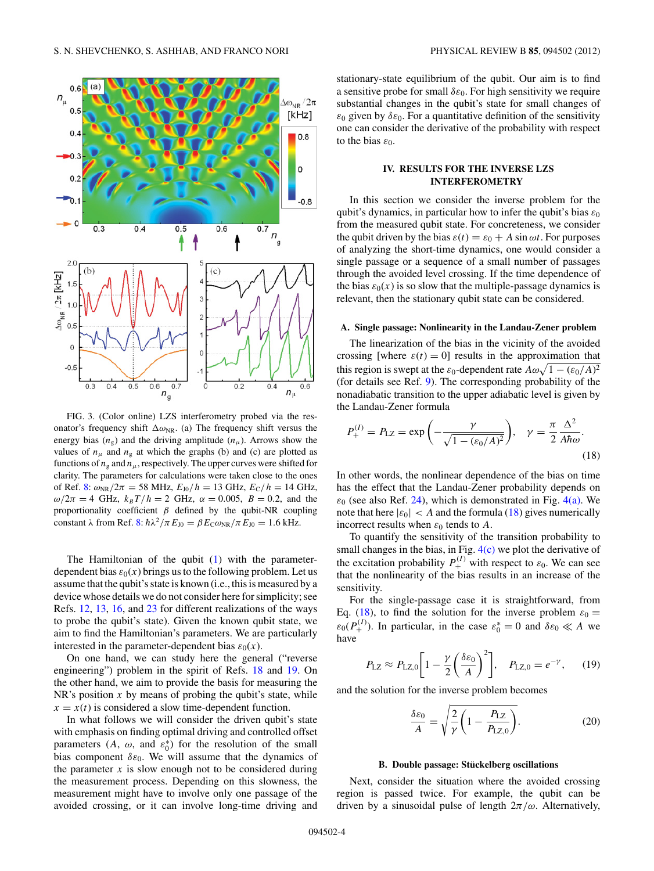<span id="page-3-0"></span>

FIG. 3. (Color online) LZS interferometry probed via the resonator's frequency shift  $\Delta \omega_{NR}$ . (a) The frequency shift versus the energy bias  $(n_g)$  and the driving amplitude  $(n_\mu)$ . Arrows show the values of  $n_{\mu}$  and  $n_{\rm g}$  at which the graphs (b) and (c) are plotted as functions of  $n_g$  and  $n_\mu$ , respectively. The upper curves were shifted for clarity. The parameters for calculations were taken close to the ones of Ref. [8:](#page-8-0)  $\omega_{NR}/2\pi = 58$  MHz,  $E_{J0}/h = 13$  GHz,  $E_C/h = 14$  GHz, *ω*/2*π* = 4 GHz,  $k_B T/h = 2$  GHz,  $α = 0.005$ ,  $B = 0.2$ , and the proportionality coefficient  $\beta$  defined by the qubit-NR coupling constant  $\lambda$  from Ref. [8:](#page-8-0)  $\hbar \lambda^2 / \pi E_{J0} = \beta E_C \omega_{NR} / \pi E_{J0} = 1.6$  kHz.

The Hamiltonian of the qubit [\(1\)](#page-1-0) with the parameterdependent bias  $\varepsilon_0(x)$  brings us to the following problem. Let us assume that the qubit's state is known (i.e., this is measured by a device whose details we do not consider here for simplicity; see Refs. [12,](#page-8-0) [13,](#page-8-0) [16,](#page-8-0) and [23](#page-9-0) for different realizations of the ways to probe the qubit's state). Given the known qubit state, we aim to find the Hamiltonian's parameters. We are particularly interested in the parameter-dependent bias  $\varepsilon_0(x)$ .

On one hand, we can study here the general ("reverse engineering") problem in the spirit of Refs. [18](#page-8-0) and [19.](#page-8-0) On the other hand, we aim to provide the basis for measuring the NR's position *x* by means of probing the qubit's state, while  $x = x(t)$  is considered a slow time-dependent function.

In what follows we will consider the driven qubit's state with emphasis on finding optimal driving and controlled offset parameters  $(A, \omega, \text{ and } \varepsilon_0^*)$  for the resolution of the small bias component  $\delta \varepsilon_0$ . We will assume that the dynamics of the parameter  $x$  is slow enough not to be considered during the measurement process. Depending on this slowness, the measurement might have to involve only one passage of the avoided crossing, or it can involve long-time driving and stationary-state equilibrium of the qubit. Our aim is to find a sensitive probe for small  $\delta \varepsilon_0$ . For high sensitivity we require substantial changes in the qubit's state for small changes of  $\varepsilon_0$  given by  $\delta \varepsilon_0$ . For a quantitative definition of the sensitivity one can consider the derivative of the probability with respect to the bias  $\varepsilon_0$ .

## **IV. RESULTS FOR THE INVERSE LZS INTERFEROMETRY**

In this section we consider the inverse problem for the qubit's dynamics, in particular how to infer the qubit's bias  $\varepsilon_0$ from the measured qubit state. For concreteness, we consider the qubit driven by the bias  $\varepsilon(t) = \varepsilon_0 + A \sin \omega t$ . For purposes of analyzing the short-time dynamics, one would consider a single passage or a sequence of a small number of passages through the avoided level crossing. If the time dependence of the bias  $\varepsilon_0(x)$  is so slow that the multiple-passage dynamics is relevant, then the stationary qubit state can be considered.

### **A. Single passage: Nonlinearity in the Landau-Zener problem**

The linearization of the bias in the vicinity of the avoided crossing [where  $\varepsilon(t) = 0$ ] results in the approximation that this region is swept at the  $\varepsilon_0$ -dependent rate  $A\omega\sqrt{1-(\varepsilon_0/A)^2}$ (for details see Ref. [9\)](#page-8-0). The corresponding probability of the nonadiabatic transition to the upper adiabatic level is given by the Landau-Zener formula

$$
P_{+}^{(I)} = P_{\text{LZ}} = \exp\left(-\frac{\gamma}{\sqrt{1 - (\varepsilon_0/A)^2}}\right), \quad \gamma = \frac{\pi}{2} \frac{\Delta^2}{A\hbar\omega}.
$$
\n(18)

In other words, the nonlinear dependence of the bias on time has the effect that the Landau-Zener probability depends on  $\varepsilon_0$  (see also Ref. [24\)](#page-9-0), which is demonstrated in Fig. [4\(a\).](#page-4-0) We note that here  $|\varepsilon_0| < A$  and the formula (18) gives numerically incorrect results when  $\varepsilon_0$  tends to A.

To quantify the sensitivity of the transition probability to small changes in the bias, in Fig.  $4(c)$  we plot the derivative of the excitation probability  $P_+^{(I)}$  with respect to  $\varepsilon_0$ . We can see that the nonlinearity of the bias results in an increase of the sensitivity.

For the single-passage case it is straightforward, from Eq. (18), to find the solution for the inverse problem  $\varepsilon_0 =$  $\varepsilon_0(P_+^{(I)})$ . In particular, in the case  $\varepsilon_0^* = 0$  and  $\delta \varepsilon_0 \ll A$  we have

$$
P_{\text{LZ}} \approx P_{\text{LZ},0} \left[ 1 - \frac{\gamma}{2} \left( \frac{\delta \varepsilon_0}{A} \right)^2 \right], \quad P_{\text{LZ},0} = e^{-\gamma}, \quad (19)
$$

and the solution for the inverse problem becomes

$$
\frac{\delta \varepsilon_0}{A} = \sqrt{\frac{2}{\gamma} \left( 1 - \frac{P_{\rm LZ}}{P_{\rm LZ, 0}} \right)}.
$$
\n(20)

#### **B. Double passage: Stuckelberg oscillations ¨**

Next, consider the situation where the avoided crossing region is passed twice. For example, the qubit can be driven by a sinusoidal pulse of length 2*π/ω*. Alternatively,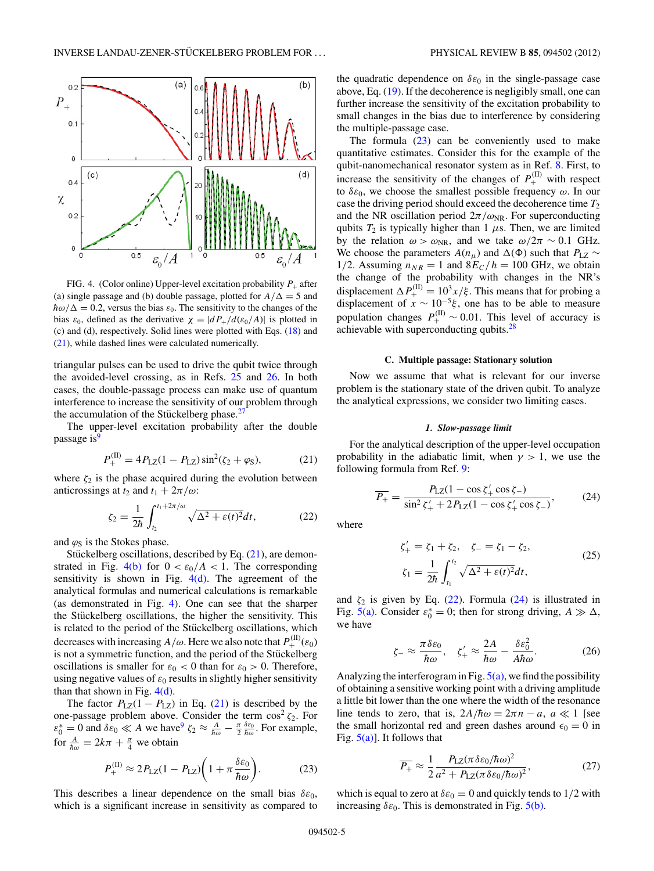<span id="page-4-0"></span>

FIG. 4. (Color online) Upper-level excitation probability  $P_+$  after (a) single passage and (b) double passage, plotted for  $A/\Delta = 5$  and  $\hbar \omega/\Delta = 0.2$ , versus the bias  $\varepsilon_0$ . The sensitivity to the changes of the bias  $\varepsilon_0$ , defined as the derivative  $\chi = |dP_+/d(\varepsilon_0/A)|$  is plotted in (c) and (d), respectively. Solid lines were plotted with Eqs. [\(18\)](#page-3-0) and (21), while dashed lines were calculated numerically.

triangular pulses can be used to drive the qubit twice through the avoided-level crossing, as in Refs. [25](#page-9-0) and [26.](#page-9-0) In both cases, the double-passage process can make use of quantum interference to increase the sensitivity of our problem through the accumulation of the Stückelberg phase.<sup>[27](#page-9-0)</sup>

The upper-level excitation probability after the double passage is<sup>[9](#page-8-0)</sup>

$$
P_{+}^{(II)} = 4P_{LZ}(1 - P_{LZ})\sin^{2}(\zeta_{2} + \varphi_{S}),
$$
 (21)

where  $\zeta_2$  is the phase acquired during the evolution between anticrossings at *t*<sub>2</sub> and *t*<sub>1</sub> +  $2\pi/\omega$ :

$$
\zeta_2 = \frac{1}{2\hbar} \int_{t_2}^{t_1 + 2\pi/\omega} \sqrt{\Delta^2 + \varepsilon(t)^2} dt, \tag{22}
$$

and  $\varphi$ <sub>S</sub> is the Stokes phase.

Stückelberg oscillations, described by Eq.  $(21)$ , are demonstrated in Fig.  $4(b)$  for  $0 < \varepsilon_0/A < 1$ . The corresponding sensitivity is shown in Fig.  $4(d)$ . The agreement of the analytical formulas and numerical calculations is remarkable (as demonstrated in Fig. 4). One can see that the sharper the Stückelberg oscillations, the higher the sensitivity. This is related to the period of the Stückelberg oscillations, which decreases with increasing  $A/\omega$ . Here we also note that  $P_+^{(\text{II})}(\varepsilon_0)$ is not a symmetric function, and the period of the Stückelberg oscillations is smaller for  $\varepsilon_0 < 0$  than for  $\varepsilon_0 > 0$ . Therefore, using negative values of  $\varepsilon_0$  results in slightly higher sensitivity than that shown in Fig.  $4(d)$ .

The factor  $P_{LZ}(1 - P_{LZ})$  in Eq. (21) is described by the one-passage problem above. Consider the term  $\cos^2 \zeta_2$ . For  $\varepsilon_0^* = 0$  and  $\delta \varepsilon_0 \ll A$  we have<sup>9</sup>  $\zeta_2 \approx \frac{A}{\hbar \omega} - \frac{\pi}{2} \frac{\delta \varepsilon_0}{\hbar \omega}$ . For example, for  $\frac{A}{\hbar \omega} = 2k\pi + \frac{\pi}{4}$  we obtain

$$
P_{+}^{(\text{II})} \approx 2P_{\text{LZ}}(1 - P_{\text{LZ}})\bigg(1 + \pi \frac{\delta \varepsilon_0}{\hbar \omega}\bigg). \tag{23}
$$

This describes a linear dependence on the small bias  $\delta \varepsilon_0$ , which is a significant increase in sensitivity as compared to the quadratic dependence on *δε*<sup>0</sup> in the single-passage case above, Eq. [\(19\)](#page-3-0). If the decoherence is negligibly small, one can further increase the sensitivity of the excitation probability to small changes in the bias due to interference by considering the multiple-passage case.

The formula  $(23)$  can be conveniently used to make quantitative estimates. Consider this for the example of the qubit-nanomechanical resonator system as in Ref. [8.](#page-8-0) First, to increase the sensitivity of the changes of  $P_+^{(II)}$  with respect to  $\delta \varepsilon_0$ , we choose the smallest possible frequency  $\omega$ . In our case the driving period should exceed the decoherence time *T*<sup>2</sup> and the NR oscillation period  $2\pi/\omega_{\text{NR}}$ . For superconducting qubits  $T_2$  is typically higher than 1  $\mu$ s. Then, we are limited by the relation  $\omega > \omega_{NR}$ , and we take  $\omega/2\pi \sim 0.1$  GHz. We choose the parameters  $A(n_\mu)$  and  $\Delta(\Phi)$  such that  $P_{\text{LZ}} \sim$ 1/2. Assuming  $n_{NR} = 1$  and  $8E_C/h = 100$  GHz, we obtain the change of the probability with changes in the NR's displacement  $\Delta P_+^{(II)} = 10^3 x/\xi$ . This means that for probing a displacement of  $x \sim 10^{-5} \xi$ , one has to be able to measure population changes  $P_+^{(II)} \sim 0.01$ . This level of accuracy is achievable with superconducting qubits[.28](#page-9-0)

#### **C. Multiple passage: Stationary solution**

Now we assume that what is relevant for our inverse problem is the stationary state of the driven qubit. To analyze the analytical expressions, we consider two limiting cases.

#### *1. Slow-passage limit*

For the analytical description of the upper-level occupation probability in the adiabatic limit, when  $\gamma > 1$ , we use the following formula from Ref. [9:](#page-8-0)

$$
\overline{P_+} = \frac{P_{\rm LZ}(1 - \cos \zeta_+' \cos \zeta_-)}{\sin^2 \zeta_+' + 2P_{\rm LZ}(1 - \cos \zeta_+' \cos \zeta_-)},\tag{24}
$$

where

$$
\zeta'_{+} = \zeta_{1} + \zeta_{2}, \quad \zeta_{-} = \zeta_{1} - \zeta_{2}, \n\zeta_{1} = \frac{1}{2\hbar} \int_{t_{1}}^{t_{2}} \sqrt{\Delta^{2} + \varepsilon(t)^{2}} dt,
$$
\n(25)

and  $\zeta_2$  is given by Eq. (22). Formula (24) is illustrated in Fig.  $\overline{5(a)}$ . Consider  $\varepsilon_0^* = 0$ ; then for strong driving,  $A \gg \Delta$ , we have

$$
\zeta_{-} \approx \frac{\pi \delta \varepsilon_{0}}{\hbar \omega}, \quad \zeta_{+}' \approx \frac{2A}{\hbar \omega} - \frac{\delta \varepsilon_{0}^{2}}{A\hbar \omega}.
$$
 (26)

Analyzing the interferogram in Fig.  $5(a)$ , we find the possibility of obtaining a sensitive working point with a driving amplitude a little bit lower than the one where the width of the resonance line tends to zero, that is,  $2A/\hbar\omega = 2\pi n - a$ ,  $a \ll 1$  [see the small horizontal red and green dashes around  $\epsilon_0 = 0$  in Fig.  $5(a)$ ]. It follows that

$$
\overline{P_+} \approx \frac{1}{2} \frac{P_{\rm LZ}(\pi \delta \varepsilon_0 / \hbar \omega)^2}{a^2 + P_{\rm LZ}(\pi \delta \varepsilon_0 / \hbar \omega)^2},\tag{27}
$$

which is equal to zero at  $\delta \varepsilon_0 = 0$  and quickly tends to  $1/2$  with increasing  $\delta \varepsilon_0$ . This is demonstrated in Fig. [5\(b\).](#page-5-0)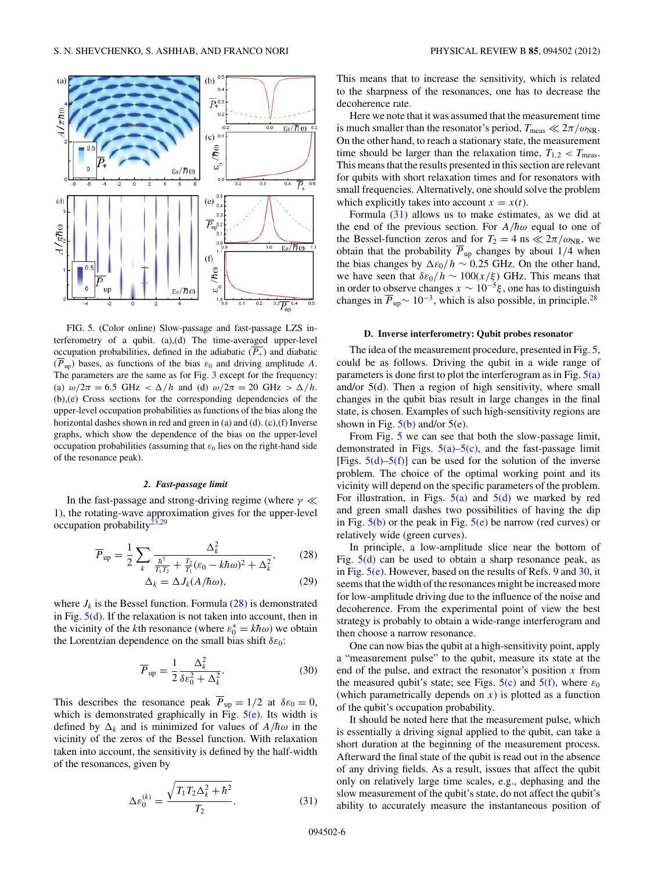<span id="page-5-0"></span>

FIG. 5. (Color online) Slow-passage and fast-passage LZS interferometry of a qubit. (a),(d) The time-averaged upper-level occupation probabilities, defined in the adiabatic  $(\overline{P_+})$  and diabatic  $(\overline{P}_{up})$  bases, as functions of the bias  $\varepsilon_0$  and driving amplitude *A*. The parameters are the same as for Fig. [3](#page-3-0) except for the frequency: (a)  $\omega/2\pi = 6.5$  GHz  $< \Delta/h$  and (d)  $\omega/2\pi = 20$  GHz  $> \Delta/h$ . (b),(e) Cross sections for the corresponding dependencies of the upper-level occupation probabilities as functions of the bias along the horizontal dashes shown in red and green in (a) and (d). (c),(f) Inverse graphs, which show the dependence of the bias on the upper-level occupation probabilities (assuming that  $\varepsilon_0$  lies on the right-hand side of the resonance peak).

### *2. Fast-passage limit*

In the fast-passage and strong-driving regime (where  $\gamma \ll$ 1), the rotating-wave approximation gives for the upper-level occupation probability $^{23,29}$ 

$$
\overline{P}_{\text{up}} = \frac{1}{2} \sum_{k} \frac{\Delta_k^2}{\frac{\hbar^2}{T_1 T_2} + \frac{T_2}{T_1} (\varepsilon_0 - k \hbar \omega)^2 + \Delta_k^2},\tag{28}
$$

$$
\Delta_k = \Delta J_k (A/\hbar \omega), \tag{29}
$$

where  $J_k$  is the Bessel function. Formula  $(28)$  is demonstrated in Fig.  $5(d)$ . If the relaxation is not taken into account, then in the vicinity of the *k*<sup>th</sup> resonance (where  $\varepsilon_0^* = k\hbar\omega$ ) we obtain the Lorentzian dependence on the small bias shift *δε*0:

$$
\overline{P}_{\text{up}} = \frac{1}{2} \frac{\Delta_k^2}{\delta \varepsilon_0^2 + \Delta_k^2}.
$$
 (30)

This describes the resonance peak  $\overline{P}_{up} = 1/2$  at  $\delta \varepsilon_0 = 0$ , which is demonstrated graphically in Fig.  $5(e)$ . Its width is defined by  $\Delta_k$  and is minimized for values of  $A/h\omega$  in the vicinity of the zeros of the Bessel function. With relaxation taken into account, the sensitivity is defined by the half-width of the resonances, given by

$$
\Delta \varepsilon_0^{(k)} = \frac{\sqrt{T_1 T_2 \Delta_k^2 + \hbar^2}}{T_2}.
$$
\n(31)

This means that to increase the sensitivity, which is related to the sharpness of the resonances, one has to decrease the decoherence rate.

Here we note that it was assumed that the measurement time is much smaller than the resonator's period,  $T_{\text{meas}} \ll 2\pi/\omega_{\text{NR}}$ . On the other hand, to reach a stationary state, the measurement time should be larger than the relaxation time,  $T_{1,2} < T_{\text{meas}}$ . This means that the results presented in this section are relevant for qubits with short relaxation times and for resonators with small frequencies. Alternatively, one should solve the problem which explicitly takes into account  $x = x(t)$ .

Formula (31) allows us to make estimates, as we did at the end of the previous section. For  $A/\hbar\omega$  equal to one of the Bessel-function zeros and for  $T_2 = 4$  ns  $\ll 2\pi/\omega_{\rm NR}$ , we obtain that the probability  $\overline{P}_{up}$  changes by about 1/4 when the bias changes by  $\Delta \varepsilon_0 / h \sim 0.25$  GHz. On the other hand, we have seen that  $\delta \varepsilon_0 / h \sim 100(x/\xi)$  GHz. This means that in order to observe changes *x* ∼ 10<sup>−</sup>5*ξ* , one has to distinguish changes in  $\overline{P}_{\text{up}} \sim 10^{-3}$ , which is also possible, in principle.<sup>28</sup>

## **D. Inverse interferometry: Qubit probes resonator**

The idea of the measurement procedure, presented in Fig. 5, could be as follows. Driving the qubit in a wide range of parameters is done first to plot the interferogram as in Fig.  $5(a)$ and/or 5(d). Then a region of high sensitivity, where small changes in the qubit bias result in large changes in the final state, is chosen. Examples of such high-sensitivity regions are shown in Fig.  $5(b)$  and/or  $5(e)$ .

From Fig. 5 we can see that both the slow-passage limit, demonstrated in Figs.  $5(a)$ – $5(c)$ , and the fast-passage limit [Figs.  $5(d)$ – $5(f)$ ] can be used for the solution of the inverse problem. The choice of the optimal working point and its vicinity will depend on the specific parameters of the problem. For illustration, in Figs.  $5(a)$  and  $5(d)$  we marked by red and green small dashes two possibilities of having the dip in Fig.  $5(b)$  or the peak in Fig.  $5(e)$  be narrow (red curves) or relatively wide (green curves).

In principle, a low-amplitude slice near the bottom of Fig.  $5(d)$  can be used to obtain a sharp resonance peak, as in Fig.  $5(e)$ . However, based on the results of Refs. [9](#page-8-0) and [30,](#page-9-0) it seems that the width of the resonances might be increased more for low-amplitude driving due to the influence of the noise and decoherence. From the experimental point of view the best strategy is probably to obtain a wide-range interferogram and then choose a narrow resonance.

One can now bias the qubit at a high-sensitivity point, apply a "measurement pulse" to the qubit, measure its state at the end of the pulse, and extract the resonator's position *x* from the measured qubit's state; see Figs.  $5(c)$  and  $5(f)$ , where  $\varepsilon_0$ (which parametrically depends on *x*) is plotted as a function of the qubit's occupation probability.

It should be noted here that the measurement pulse, which is essentially a driving signal applied to the qubit, can take a short duration at the beginning of the measurement process. Afterward the final state of the qubit is read out in the absence of any driving fields. As a result, issues that affect the qubit only on relatively large time scales, e.g., dephasing and the slow measurement of the qubit's state, do not affect the qubit's ability to accurately measure the instantaneous position of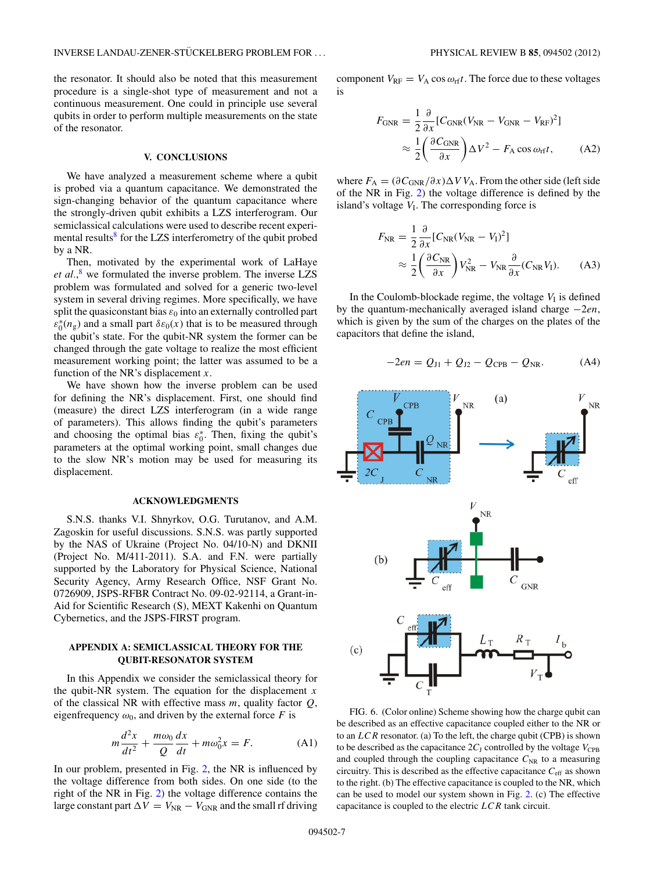<span id="page-6-0"></span>the resonator. It should also be noted that this measurement procedure is a single-shot type of measurement and not a continuous measurement. One could in principle use several qubits in order to perform multiple measurements on the state of the resonator.

## **V. CONCLUSIONS**

We have analyzed a measurement scheme where a qubit is probed via a quantum capacitance. We demonstrated the sign-changing behavior of the quantum capacitance where the strongly-driven qubit exhibits a LZS interferogram. Our semiclassical calculations were used to describe recent experi-mental results<sup>[8](#page-8-0)</sup> for the LZS interferometry of the qubit probed by a NR.

Then, motivated by the experimental work of LaHaye *et al.*, [8](#page-8-0) we formulated the inverse problem. The inverse LZS problem was formulated and solved for a generic two-level system in several driving regimes. More specifically, we have split the quasiconstant bias  $\varepsilon_0$  into an externally controlled part  $\varepsilon_0^*(n_g)$  and a small part  $\delta\varepsilon_0(x)$  that is to be measured through the qubit's state. For the qubit-NR system the former can be changed through the gate voltage to realize the most efficient measurement working point; the latter was assumed to be a function of the NR's displacement *x*.

We have shown how the inverse problem can be used for defining the NR's displacement. First, one should find (measure) the direct LZS interferogram (in a wide range of parameters). This allows finding the qubit's parameters and choosing the optimal bias  $\varepsilon_0^*$ . Then, fixing the qubit's parameters at the optimal working point, small changes due to the slow NR's motion may be used for measuring its displacement.

### **ACKNOWLEDGMENTS**

S.N.S. thanks V.I. Shnyrkov, O.G. Turutanov, and A.M. Zagoskin for useful discussions. S.N.S. was partly supported by the NAS of Ukraine (Project No. 04/10-N) and DKNII (Project No. M/411-2011). S.A. and F.N. were partially supported by the Laboratory for Physical Science, National Security Agency, Army Research Office, NSF Grant No. 0726909, JSPS-RFBR Contract No. 09-02-92114, a Grant-in-Aid for Scientific Research (S), MEXT Kakenhi on Quantum Cybernetics, and the JSPS-FIRST program.

## **APPENDIX A: SEMICLASSICAL THEORY FOR THE QUBIT-RESONATOR SYSTEM**

In this Appendix we consider the semiclassical theory for the qubit-NR system. The equation for the displacement *x* of the classical NR with effective mass *m*, quality factor *Q*, eigenfrequency  $\omega_0$ , and driven by the external force *F* is

$$
m\frac{d^2x}{dt^2} + \frac{m\omega_0}{Q}\frac{dx}{dt} + m\omega_0^2 x = F.
$$
 (A1)

In our problem, presented in Fig. [2,](#page-1-0) the NR is influenced by the voltage difference from both sides. On one side (to the right of the NR in Fig. [2\)](#page-1-0) the voltage difference contains the large constant part  $\Delta V = V_{\text{NR}} - V_{\text{GNR}}$  and the small rf driving

component  $V_{\text{RF}} = V_A \cos \omega_{\text{rf}} t$ . The force due to these voltages is

$$
F_{\text{GNR}} = \frac{1}{2} \frac{\partial}{\partial x} [C_{\text{GNR}} (V_{\text{NR}} - V_{\text{GNR}} - V_{\text{RF}})^2]
$$

$$
\approx \frac{1}{2} \left( \frac{\partial C_{\text{GNR}}}{\partial x} \right) \Delta V^2 - F_{\text{A}} \cos \omega_{\text{rf}} t, \tag{A2}
$$

where  $F_A = (\partial C_{GNR}/\partial x) \Delta V V_A$ . From the other side (left side of the NR in Fig. [2\)](#page-1-0) the voltage difference is defined by the island's voltage  $V<sub>I</sub>$ . The corresponding force is

$$
F_{\rm NR} = \frac{1}{2} \frac{\partial}{\partial x} [C_{\rm NR} (V_{\rm NR} - V_{\rm I})^2]
$$
  

$$
\approx \frac{1}{2} \left( \frac{\partial C_{\rm NR}}{\partial x} \right) V_{\rm NR}^2 - V_{\rm NR} \frac{\partial}{\partial x} (C_{\rm NR} V_{\rm I}). \tag{A3}
$$

In the Coulomb-blockade regime, the voltage  $V<sub>I</sub>$  is defined by the quantum-mechanically averaged island charge −2*en*, which is given by the sum of the charges on the plates of the capacitors that define the island,

$$
-2en = Q_{J1} + Q_{J2} - Q_{CPB} - Q_{NR}.
$$
 (A4)



FIG. 6. (Color online) Scheme showing how the charge qubit can be described as an effective capacitance coupled either to the NR or to an *LCR* resonator. (a) To the left, the charge qubit (CPB) is shown to be described as the capacitance  $2C_J$  controlled by the voltage  $V_{\text{CPB}}$ and coupled through the coupling capacitance  $C_{NR}$  to a measuring circuitry. This is described as the effective capacitance *C*eff as shown to the right. (b) The effective capacitance is coupled to the NR, which can be used to model our system shown in Fig. [2.](#page-1-0) (c) The effective capacitance is coupled to the electric *LCR* tank circuit.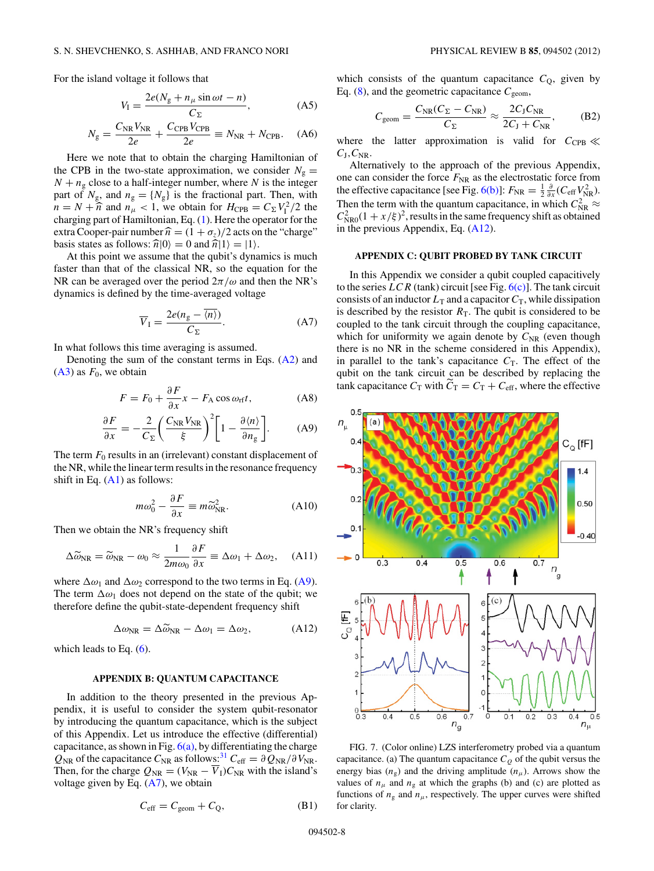<span id="page-7-0"></span>For the island voltage it follows that

$$
V_{I} = \frac{2e(N_{g} + n_{\mu}\sin\omega t - n)}{C_{\Sigma}},
$$
 (A5)

$$
N_{\rm g} = \frac{C_{\rm NR}V_{\rm NR}}{2e} + \frac{C_{\rm CPB}V_{\rm CPB}}{2e} \equiv N_{\rm NR} + N_{\rm CPB}.
$$
 (A6)

Here we note that to obtain the charging Hamiltonian of the CPB in the two-state approximation, we consider  $N_g =$  $N + n<sub>g</sub>$  close to a half-integer number, where *N* is the integer part of  $N_g$ , and  $n_g = \{N_g\}$  is the fractional part. Then, with  $n = N + \hat{n}$  and  $n_{\mu} < 1$ , we obtain for  $H_{CPB} = C_{\Sigma} V_1^2 / 2$  the charging part of Hamiltonian, Eq. [\(1\)](#page-1-0). Here the operator for the extra Cooper-pair number  $\hat{n} = (1 + \sigma_z)/2$  acts on the "charge" basis states as follows:  $\hat{n}|0\rangle = 0$  and  $\hat{n}|1\rangle = |1\rangle$ .

At this point we assume that the qubit's dynamics is much faster than that of the classical NR, so the equation for the NR can be averaged over the period 2*π/ω* and then the NR's dynamics is defined by the time-averaged voltage

$$
\overline{V}_I = \frac{2e(n_g - \overline{\langle n \rangle})}{C_{\Sigma}}.
$$
 (A7)

In what follows this time averaging is assumed.

Denoting the sum of the constant terms in Eqs. [\(A2\)](#page-6-0) and  $(A3)$  as  $F_0$ , we obtain

$$
F = F_0 + \frac{\partial F}{\partial x} x - F_A \cos \omega_{\text{rf}} t,
$$
 (A8)

$$
\frac{\partial F}{\partial x} = -\frac{2}{C_{\Sigma}} \left( \frac{C_{\rm NR} V_{\rm NR}}{\xi} \right)^2 \left[ 1 - \frac{\partial \langle n \rangle}{\partial n_{\rm g}} \right].
$$
 (A9)

The term  $F_0$  results in an (irrelevant) constant displacement of the NR, while the linear term results in the resonance frequency shift in Eq. [\(A1\)](#page-6-0) as follows:

$$
m\omega_0^2 - \frac{\partial F}{\partial x} \equiv m\widetilde{\omega}_{\rm NR}^2.
$$
 (A10)

Then we obtain the NR's frequency shift

$$
\Delta \widetilde{\omega}_{\rm NR} = \widetilde{\omega}_{\rm NR} - \omega_0 \approx \frac{1}{2m\omega_0} \frac{\partial F}{\partial x} \equiv \Delta \omega_1 + \Delta \omega_2, \quad \text{(A11)}
$$

where  $\Delta \omega_1$  and  $\Delta \omega_2$  correspond to the two terms in Eq. (A9). The term  $\Delta \omega_1$  does not depend on the state of the qubit; we therefore define the qubit-state-dependent frequency shift

$$
\Delta \omega_{\rm NR} = \Delta \widetilde{\omega}_{\rm NR} - \Delta \omega_1 = \Delta \omega_2, \tag{A12}
$$

which leads to Eq.  $(6)$ .

#### **APPENDIX B: QUANTUM CAPACITANCE**

In addition to the theory presented in the previous Appendix, it is useful to consider the system qubit-resonator by introducing the quantum capacitance, which is the subject of this Appendix. Let us introduce the effective (differential) capacitance, as shown in Fig.  $6(a)$ , by differentiating the charge  $Q_{\text{NR}}$  of the capacitance  $C_{\text{NR}}$  as follows:<sup>[31](#page-9-0)</sup>  $C_{\text{eff}} = \frac{\partial Q_{\text{NR}}}{\partial V_{\text{NR}}}$ . Then, for the charge  $Q_{\text{NR}} = (V_{\text{NR}} - \overline{V}_{\text{I}})C_{\text{NR}}$  with the island's voltage given by Eq.  $(A7)$ , we obtain

$$
C_{\rm eff} = C_{\rm geom} + C_{\rm Q}, \tag{B1}
$$

which consists of the quantum capacitance  $C<sub>Q</sub>$ , given by Eq.  $(8)$ , and the geometric capacitance  $C_{\text{geom}}$ ,

$$
C_{\text{geom}} = \frac{C_{\text{NR}}(C_{\Sigma} - C_{\text{NR}})}{C_{\Sigma}} \approx \frac{2C_{\text{J}}C_{\text{NR}}}{2C_{\text{J}} + C_{\text{NR}}},\tag{B2}
$$

where the latter approximation is valid for  $C_{\text{CPB}} \ll$  $C_J, C_{NR}$ .

Alternatively to the approach of the previous Appendix, one can consider the force  $F_{NR}$  as the electrostatic force from the effective capacitance [see Fig. [6\(b\)\]](#page-6-0):  $F_{\text{NR}} = \frac{1}{2} \frac{\partial}{\partial x} (C_{\text{eff}} V_{\text{NR}}^2)$ . Then the term with the quantum capacitance, in which  $C_{NR}^2 \approx$  $C_{\text{NRO}}^2(1 + x/\xi)^2$ , results in the same frequency shift as obtained in the previous Appendix, Eq. (A12).

## **APPENDIX C: QUBIT PROBED BY TANK CIRCUIT**

In this Appendix we consider a qubit coupled capacitively to the series  $LCR$  (tank) circuit [see Fig.  $6(c)$ ]. The tank circuit consists of an inductor  $L_T$  and a capacitor  $C_T$ , while dissipation is described by the resistor  $R<sub>T</sub>$ . The qubit is considered to be coupled to the tank circuit through the coupling capacitance, which for uniformity we again denote by  $C_{NR}$  (even though there is no NR in the scheme considered in this Appendix), in parallel to the tank's capacitance  $C_T$ . The effect of the qubit on the tank circuit can be described by replacing the tank capacitance  $C_T$  with  $\tilde{C}_T = C_T + C_{\text{eff}}$ , where the effective



FIG. 7. (Color online) LZS interferometry probed via a quantum capacitance. (a) The quantum capacitance  $C_Q$  of the qubit versus the energy bias  $(n_g)$  and the driving amplitude  $(n_\mu)$ . Arrows show the values of  $n_{\mu}$  and  $n_{\rm g}$  at which the graphs (b) and (c) are plotted as functions of  $n_g$  and  $n_\mu$ , respectively. The upper curves were shifted for clarity.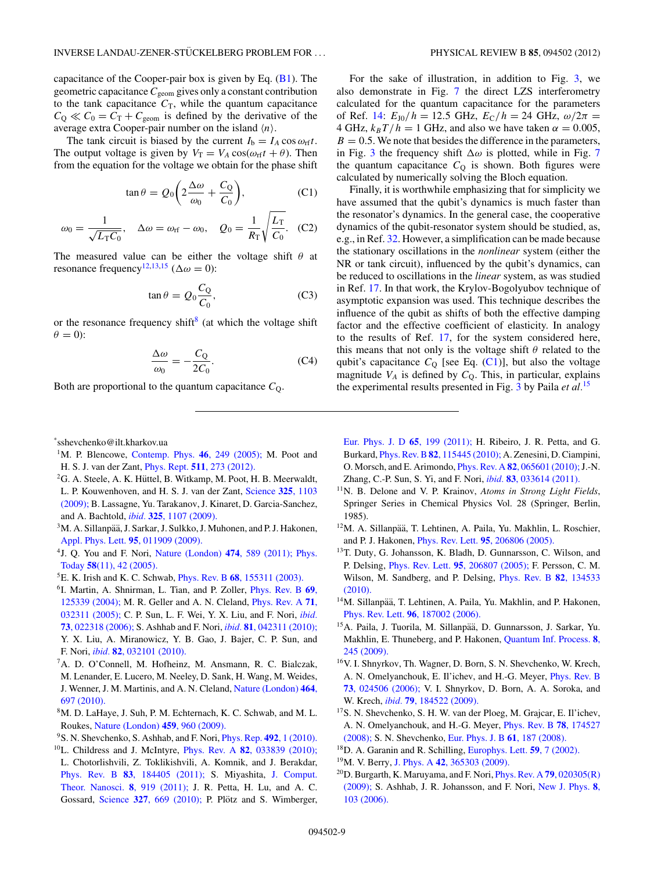<span id="page-8-0"></span>capacitance of the Cooper-pair box is given by Eq.  $(B1)$ . The geometric capacitance*C*geom gives only a constant contribution to the tank capacitance  $C_T$ , while the quantum capacitance  $C_Q \ll C_0 = C_T + C_{\text{geom}}$  is defined by the derivative of the average extra Cooper-pair number on the island  $\langle n \rangle$ .

The tank circuit is biased by the current  $I_b = I_A \cos \omega_{\text{rf}} t$ . The output voltage is given by  $V_T = V_A \cos(\omega_{\text{rf}} t + \theta)$ . Then from the equation for the voltage we obtain for the phase shift

$$
\tan \theta = Q_0 \bigg( 2 \frac{\Delta \omega}{\omega_0} + \frac{C_Q}{C_0} \bigg),\tag{C1}
$$

$$
\omega_0 = \frac{1}{\sqrt{L_{\rm T}C_0}}, \quad \Delta\omega = \omega_{\rm rf} - \omega_0, \quad Q_0 = \frac{1}{R_{\rm T}} \sqrt{\frac{L_{\rm T}}{C_0}}. \quad (C2)
$$

The measured value can be either the voltage shift *θ* at resonance frequency<sup>12,13,15</sup> ( $\Delta \omega = 0$ ):

$$
\tan \theta = Q_0 \frac{C_Q}{C_0},\tag{C3}
$$

or the resonance frequency shift<sup>8</sup> (at which the voltage shift  $\theta = 0$ :

$$
\frac{\Delta \omega}{\omega_0} = -\frac{C_Q}{2C_0}.\tag{C4}
$$

Both are proportional to the quantum capacitance  $C<sub>Q</sub>$ .

\* sshevchenko@ilt.kharkov.ua

- <sup>1</sup>M. P. Blencowe, [Contemp. Phys.](http://dx.doi.org/10.1080/00107510500146865) **46**, 249 (2005); M. Poot and H. S. J. van der Zant, Phys. Rept. **511**[, 273 \(2012\).](http://dx.doi.org/10.1016/j.physrep.2011.12.004)
- <sup>2</sup>G. A. Steele, A. K. Hüttel, B. Witkamp, M. Poot, H. B. Meerwaldt, L. P. Kouwenhoven, and H. S. J. van der Zant, [Science](http://dx.doi.org/10.1126/science.1176076) **325**, 1103 [\(2009\);](http://dx.doi.org/10.1126/science.1176076) B. Lassagne, Yu. Tarakanov, J. Kinaret, D. Garcia-Sanchez, and A. Bachtold, *ibid.* **325**[, 1107 \(2009\).](http://dx.doi.org/10.1126/science.1174290)
- $3$ M. A. Sillanpää, J. Sarkar, J. Sulkko, J. Muhonen, and P. J. Hakonen, [Appl. Phys. Lett.](http://dx.doi.org/10.1063/1.3173826) **95**, 011909 (2009).
- 4J. Q. You and F. Nori, [Nature \(London\)](http://dx.doi.org/10.1038/nature10122) **474**, 589 (2011); [Phys.](http://dx.doi.org/10.1063/1.2155757) Today **58**[\(11\), 42 \(2005\).](http://dx.doi.org/10.1063/1.2155757)
- 5E. K. Irish and K. C. Schwab, Phys. Rev. B **68**[, 155311 \(2003\).](http://dx.doi.org/10.1103/PhysRevB.68.155311)
- 6I. Martin, A. Shnirman, L. Tian, and P. Zoller, [Phys. Rev. B](http://dx.doi.org/10.1103/PhysRevB.69.125339) **69**, [125339 \(2004\);](http://dx.doi.org/10.1103/PhysRevB.69.125339) M. R. Geller and A. N. Cleland, [Phys. Rev. A](http://dx.doi.org/10.1103/PhysRevA.71.032311) **71**, [032311 \(2005\);](http://dx.doi.org/10.1103/PhysRevA.71.032311) C. P. Sun, L. F. Wei, Y. X. Liu, and F. Nori, *[ibid.](http://dx.doi.org/10.1103/PhysRevA.73.022318)* **73**[, 022318 \(2006\);](http://dx.doi.org/10.1103/PhysRevA.73.022318) S. Ashhab and F. Nori, *ibid.* **81**[, 042311 \(2010\);](http://dx.doi.org/10.1103/PhysRevA.81.042311) Y. X. Liu, A. Miranowicz, Y. B. Gao, J. Bajer, C. P. Sun, and F. Nori, *ibid.* **82**[, 032101 \(2010\).](http://dx.doi.org/10.1103/PhysRevA.82.032101)
- <sup>7</sup>A. D. O'Connell, M. Hofheinz, M. Ansmann, R. C. Bialczak, M. Lenander, E. Lucero, M. Neeley, D. Sank, H. Wang, M. Weides, J. Wenner, J. M. Martinis, and A. N. Cleland, [Nature \(London\)](http://dx.doi.org/10.1038/nature08967) **464**, [697 \(2010\).](http://dx.doi.org/10.1038/nature08967)
- 8M. D. LaHaye, J. Suh, P. M. Echternach, K. C. Schwab, and M. L. Roukes, [Nature \(London\)](http://dx.doi.org/10.1038/nature08093) **459**, 960 (2009).
- 9S. N. Shevchenko, S. Ashhab, and F. Nori, [Phys. Rep.](http://dx.doi.org/10.1016/j.physrep.2010.03.002) **492**, 1 (2010).
- 10L. Childress and J. McIntyre, Phys. Rev. A **82**[, 033839 \(2010\);](http://dx.doi.org/10.1103/PhysRevA.82.033839) L. Chotorlishvili, Z. Toklikishvili, A. Komnik, and J. Berakdar, Phys. Rev. B **83**[, 184405 \(2011\);](http://dx.doi.org/10.1103/PhysRevB.83.184405) S. Miyashita, [J. Comput.](http://dx.doi.org/10.1166/jctn.2011.1771) [Theor. Nanosci.](http://dx.doi.org/10.1166/jctn.2011.1771) **8**, 919 (2011); J. R. Petta, H. Lu, and A. C. Gossard, Science 327[, 669 \(2010\);](http://dx.doi.org/10.1126/science.1183628) P. Plötz and S. Wimberger,

For the sake of illustration, in addition to Fig. [3,](#page-3-0) we also demonstrate in Fig. [7](#page-7-0) the direct LZS interferometry calculated for the quantum capacitance for the parameters of Ref. 14:  $E_{J0}/h = 12.5$  GHz,  $E_C/h = 24$  GHz,  $\omega/2\pi =$ 4 GHz,  $k_B T/h = 1$  GHz, and also we have taken  $\alpha = 0.005$ ,  $B = 0.5$ . We note that besides the difference in the parameters, in Fig. [3](#page-3-0) the frequency shift  $\Delta\omega$  is plotted, while in Fig. [7](#page-7-0) the quantum capacitance  $C_Q$  is shown. Both figures were calculated by numerically solving the Bloch equation.

Finally, it is worthwhile emphasizing that for simplicity we have assumed that the qubit's dynamics is much faster than the resonator's dynamics. In the general case, the cooperative dynamics of the qubit-resonator system should be studied, as, e.g., in Ref. [32.](#page-9-0) However, a simplification can be made because the stationary oscillations in the *nonlinear* system (either the NR or tank circuit), influenced by the qubit's dynamics, can be reduced to oscillations in the *linear* system, as was studied in Ref. 17. In that work, the Krylov-Bogolyubov technique of asymptotic expansion was used. This technique describes the influence of the qubit as shifts of both the effective damping factor and the effective coefficient of elasticity. In analogy to the results of Ref. 17, for the system considered here, this means that not only is the voltage shift *θ* related to the qubit's capacitance  $C_Q$  [see Eq. (C1)], but also the voltage magnitude  $V_A$  is defined by  $C_Q$ . This, in particular, explains the experimental results presented in Fig. [3](#page-3-0) by Paila *et al.*<sup>15</sup>

- [Eur. Phys. J. D](http://dx.doi.org/10.1140/epjd/e2011-10711-6) **65**, 199 (2011); H. Ribeiro, J. R. Petta, and G. Burkard, Phys. Rev. B**82**[, 115445 \(2010\);](http://dx.doi.org/10.1103/PhysRevB.82.115445) A. Zenesini, D. Ciampini, O. Morsch, and E. Arimondo, Phys. Rev. A **82**[, 065601 \(2010\);](http://dx.doi.org/10.1103/PhysRevA.82.065601)J.-N. Zhang, C.-P. Sun, S. Yi, and F. Nori, *ibid.* **83**[, 033614 \(2011\).](http://dx.doi.org/10.1103/PhysRevA.83.033614)
- 11N. B. Delone and V. P. Krainov, *Atoms in Strong Light Fields*, Springer Series in Chemical Physics Vol. 28 (Springer, Berlin, 1985).
- <sup>12</sup>M. A. Sillanpää, T. Lehtinen, A. Paila, Yu. Makhlin, L. Roschier, and P. J. Hakonen, Phys. Rev. Lett. **95**[, 206806 \(2005\).](http://dx.doi.org/10.1103/PhysRevLett.95.206806)
- 13T. Duty, G. Johansson, K. Bladh, D. Gunnarsson, C. Wilson, and P. Delsing, Phys. Rev. Lett. **95**[, 206807 \(2005\);](http://dx.doi.org/10.1103/PhysRevLett.95.206807) F. Persson, C. M. Wilson, M. Sandberg, and P. Delsing, [Phys. Rev. B](http://dx.doi.org/10.1103/PhysRevB.82.134533) **82**, 134533 [\(2010\).](http://dx.doi.org/10.1103/PhysRevB.82.134533)
- <sup>14</sup>M. Sillanpää, T. Lehtinen, A. Paila, Yu. Makhlin, and P. Hakonen, Phys. Rev. Lett. **96**[, 187002 \(2006\).](http://dx.doi.org/10.1103/PhysRevLett.96.187002)
- <sup>15</sup>A. Paila, J. Tuorila, M. Sillanpää, D. Gunnarsson, J. Sarkar, Yu. Makhlin, E. Thuneberg, and P. Hakonen, [Quantum Inf. Process.](http://dx.doi.org/10.1007/s11128-009-0102-4) **8**, [245 \(2009\).](http://dx.doi.org/10.1007/s11128-009-0102-4)
- 16V. I. Shnyrkov, Th. Wagner, D. Born, S. N. Shevchenko, W. Krech, A. N. Omelyanchouk, E. Il'ichev, and H.-G. Meyer, [Phys. Rev. B](http://dx.doi.org/10.1103/PhysRevB.73.024506) **73**[, 024506 \(2006\);](http://dx.doi.org/10.1103/PhysRevB.73.024506) V. I. Shnyrkov, D. Born, A. A. Soroka, and W. Krech, *ibid.* **79**[, 184522 \(2009\).](http://dx.doi.org/10.1103/PhysRevB.79.184522)
- 17S. N. Shevchenko, S. H. W. van der Ploeg, M. Grajcar, E. Il'ichev, A. N. Omelyanchouk, and H.-G. Meyer, [Phys. Rev. B](http://dx.doi.org/10.1103/PhysRevB.78.174527) **78**, 174527 [\(2008\);](http://dx.doi.org/10.1103/PhysRevB.78.174527) S. N. Shevchenko, [Eur. Phys. J. B](http://dx.doi.org/10.1140/epjb/e2008-00061-9) **61**, 187 (2008).
- 18D. A. Garanin and R. Schilling, [Europhys. Lett.](http://dx.doi.org/10.1209/epl/i2002-00152-9) **59**, 7 (2002).
- 19M. V. Berry, J. Phys. A **42**[, 365303 \(2009\).](http://dx.doi.org/10.1088/1751-8113/42/36/365303)
- 20D. Burgarth, K. Maruyama, and F. Nori, [Phys. Rev. A](http://dx.doi.org/10.1103/PhysRevA.79.020305) **79**, 020305(R) [\(2009\);](http://dx.doi.org/10.1103/PhysRevA.79.020305) S. Ashhab, J. R. Johansson, and F. Nori, [New J. Phys.](http://dx.doi.org/10.1088/1367-2630/8/6/103) **8**, [103 \(2006\).](http://dx.doi.org/10.1088/1367-2630/8/6/103)